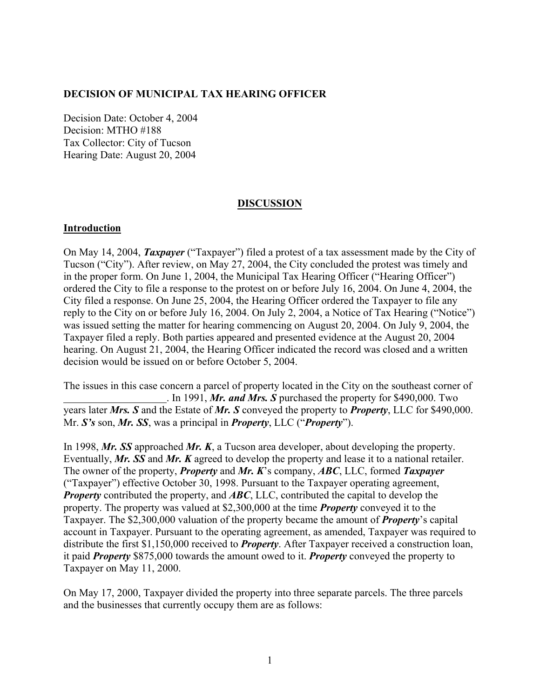## **DECISION OF MUNICIPAL TAX HEARING OFFICER**

Decision Date: October 4, 2004 Decision: MTHO #188 Tax Collector: City of Tucson Hearing Date: August 20, 2004

### **DISCUSSION**

### **Introduction**

On May 14, 2004, *Taxpayer* ("Taxpayer") filed a protest of a tax assessment made by the City of Tucson ("City"). After review, on May 27, 2004, the City concluded the protest was timely and in the proper form. On June 1, 2004, the Municipal Tax Hearing Officer ("Hearing Officer") ordered the City to file a response to the protest on or before July 16, 2004. On June 4, 2004, the City filed a response. On June 25, 2004, the Hearing Officer ordered the Taxpayer to file any reply to the City on or before July 16, 2004. On July 2, 2004, a Notice of Tax Hearing ("Notice") was issued setting the matter for hearing commencing on August 20, 2004. On July 9, 2004, the Taxpayer filed a reply. Both parties appeared and presented evidence at the August 20, 2004 hearing. On August 21, 2004, the Hearing Officer indicated the record was closed and a written decision would be issued on or before October 5, 2004.

The issues in this case concern a parcel of property located in the City on the southeast corner of . In 1991, *Mr. and Mrs. S* purchased the property for \$490,000. Two years later *Mrs. S* and the Estate of *Mr. S* conveyed the property to *Property*, LLC for \$490,000. Mr. *S's* son, *Mr. SS*, was a principal in *Property*, LLC ("*Property*").

In 1998, *Mr. SS* approached *Mr. K*, a Tucson area developer, about developing the property. Eventually, *Mr. SS* and *Mr. K* agreed to develop the property and lease it to a national retailer. The owner of the property, *Property* and *Mr. K*'s company, *ABC*, LLC, formed *Taxpayer* ("Taxpayer") effective October 30, 1998. Pursuant to the Taxpayer operating agreement, *Property* contributed the property, and *ABC*, LLC, contributed the capital to develop the property. The property was valued at \$2,300,000 at the time *Property* conveyed it to the Taxpayer. The \$2,300,000 valuation of the property became the amount of *Property*'s capital account in Taxpayer. Pursuant to the operating agreement, as amended, Taxpayer was required to distribute the first \$1,150,000 received to *Property*. After Taxpayer received a construction loan, it paid *Property* \$875,000 towards the amount owed to it. *Property* conveyed the property to Taxpayer on May 11, 2000.

On May 17, 2000, Taxpayer divided the property into three separate parcels. The three parcels and the businesses that currently occupy them are as follows: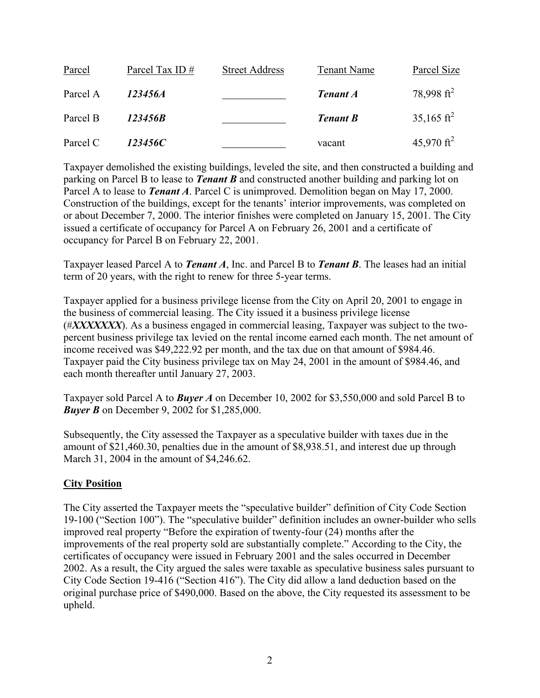| Parcel   | Parcel Tax ID# | <b>Street Address</b> | Tenant Name     | Parcel Size            |
|----------|----------------|-----------------------|-----------------|------------------------|
| Parcel A | 123456A        |                       | <b>Tenant A</b> | 78,998 ft <sup>2</sup> |
| Parcel B | 123456B        |                       | <b>Tenant B</b> | 35,165 ft <sup>2</sup> |
| Parcel C | 123456C        |                       | vacant          | 45,970 ft <sup>2</sup> |

Taxpayer demolished the existing buildings, leveled the site, and then constructed a building and parking on Parcel B to lease to *Tenant B* and constructed another building and parking lot on Parcel A to lease to *Tenant A*. Parcel C is unimproved. Demolition began on May 17, 2000. Construction of the buildings, except for the tenants' interior improvements, was completed on or about December 7, 2000. The interior finishes were completed on January 15, 2001. The City issued a certificate of occupancy for Parcel A on February 26, 2001 and a certificate of occupancy for Parcel B on February 22, 2001.

Taxpayer leased Parcel A to *Tenant A*, Inc. and Parcel B to *Tenant B*. The leases had an initial term of 20 years, with the right to renew for three 5-year terms.

Taxpayer applied for a business privilege license from the City on April 20, 2001 to engage in the business of commercial leasing. The City issued it a business privilege license (#*XXXXXXX*). As a business engaged in commercial leasing, Taxpayer was subject to the twopercent business privilege tax levied on the rental income earned each month. The net amount of income received was \$49,222.92 per month, and the tax due on that amount of \$984.46. Taxpayer paid the City business privilege tax on May 24, 2001 in the amount of \$984.46, and each month thereafter until January 27, 2003.

Taxpayer sold Parcel A to *Buyer A* on December 10, 2002 for \$3,550,000 and sold Parcel B to *Buyer B* on December 9, 2002 for \$1,285,000.

Subsequently, the City assessed the Taxpayer as a speculative builder with taxes due in the amount of \$21,460.30, penalties due in the amount of \$8,938.51, and interest due up through March 31, 2004 in the amount of \$4,246.62.

## **City Position**

The City asserted the Taxpayer meets the "speculative builder" definition of City Code Section 19-100 ("Section 100"). The "speculative builder" definition includes an owner-builder who sells improved real property "Before the expiration of twenty-four (24) months after the improvements of the real property sold are substantially complete." According to the City, the certificates of occupancy were issued in February 2001 and the sales occurred in December 2002. As a result, the City argued the sales were taxable as speculative business sales pursuant to City Code Section 19-416 ("Section 416"). The City did allow a land deduction based on the original purchase price of \$490,000. Based on the above, the City requested its assessment to be upheld.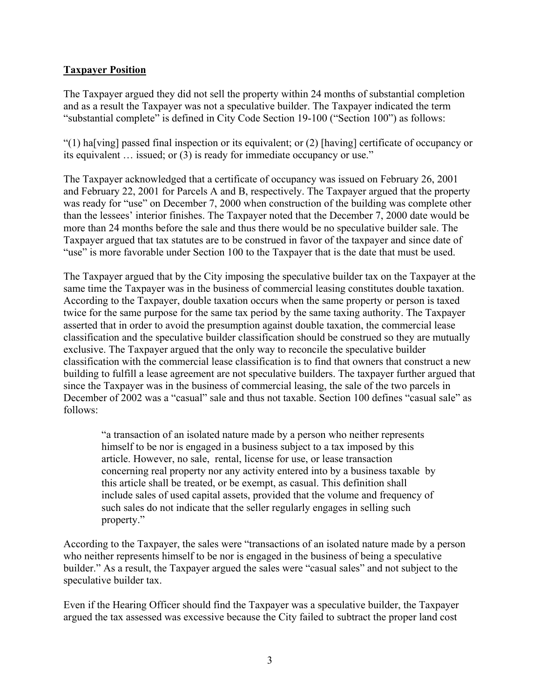## **Taxpayer Position**

The Taxpayer argued they did not sell the property within 24 months of substantial completion and as a result the Taxpayer was not a speculative builder. The Taxpayer indicated the term "substantial complete" is defined in City Code Section 19-100 ("Section 100") as follows:

"(1) ha[ving] passed final inspection or its equivalent; or (2) [having] certificate of occupancy or its equivalent … issued; or (3) is ready for immediate occupancy or use."

The Taxpayer acknowledged that a certificate of occupancy was issued on February 26, 2001 and February 22, 2001 for Parcels A and B, respectively. The Taxpayer argued that the property was ready for "use" on December 7, 2000 when construction of the building was complete other than the lessees' interior finishes. The Taxpayer noted that the December 7, 2000 date would be more than 24 months before the sale and thus there would be no speculative builder sale. The Taxpayer argued that tax statutes are to be construed in favor of the taxpayer and since date of "use" is more favorable under Section 100 to the Taxpayer that is the date that must be used.

The Taxpayer argued that by the City imposing the speculative builder tax on the Taxpayer at the same time the Taxpayer was in the business of commercial leasing constitutes double taxation. According to the Taxpayer, double taxation occurs when the same property or person is taxed twice for the same purpose for the same tax period by the same taxing authority. The Taxpayer asserted that in order to avoid the presumption against double taxation, the commercial lease classification and the speculative builder classification should be construed so they are mutually exclusive. The Taxpayer argued that the only way to reconcile the speculative builder classification with the commercial lease classification is to find that owners that construct a new building to fulfill a lease agreement are not speculative builders. The taxpayer further argued that since the Taxpayer was in the business of commercial leasing, the sale of the two parcels in December of 2002 was a "casual" sale and thus not taxable. Section 100 defines "casual sale" as follows:

"a transaction of an isolated nature made by a person who neither represents himself to be nor is engaged in a business subject to a tax imposed by this article. However, no sale, rental, license for use, or lease transaction concerning real property nor any activity entered into by a business taxable by this article shall be treated, or be exempt, as casual. This definition shall include sales of used capital assets, provided that the volume and frequency of such sales do not indicate that the seller regularly engages in selling such property."

According to the Taxpayer, the sales were "transactions of an isolated nature made by a person who neither represents himself to be nor is engaged in the business of being a speculative builder." As a result, the Taxpayer argued the sales were "casual sales" and not subject to the speculative builder tax.

Even if the Hearing Officer should find the Taxpayer was a speculative builder, the Taxpayer argued the tax assessed was excessive because the City failed to subtract the proper land cost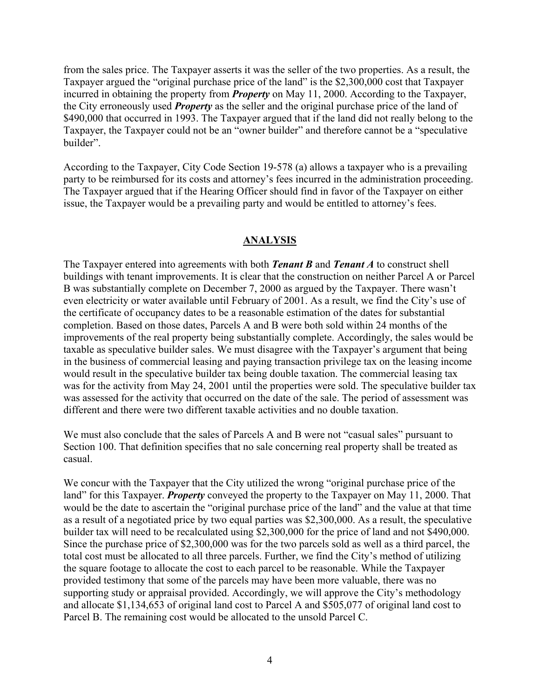from the sales price. The Taxpayer asserts it was the seller of the two properties. As a result, the Taxpayer argued the "original purchase price of the land" is the \$2,300,000 cost that Taxpayer incurred in obtaining the property from *Property* on May 11, 2000. According to the Taxpayer, the City erroneously used *Property* as the seller and the original purchase price of the land of \$490,000 that occurred in 1993. The Taxpayer argued that if the land did not really belong to the Taxpayer, the Taxpayer could not be an "owner builder" and therefore cannot be a "speculative builder".

According to the Taxpayer, City Code Section 19-578 (a) allows a taxpayer who is a prevailing party to be reimbursed for its costs and attorney's fees incurred in the administration proceeding. The Taxpayer argued that if the Hearing Officer should find in favor of the Taxpayer on either issue, the Taxpayer would be a prevailing party and would be entitled to attorney's fees.

## **ANALYSIS**

The Taxpayer entered into agreements with both *Tenant B* and *Tenant A* to construct shell buildings with tenant improvements. It is clear that the construction on neither Parcel A or Parcel B was substantially complete on December 7, 2000 as argued by the Taxpayer. There wasn't even electricity or water available until February of 2001. As a result, we find the City's use of the certificate of occupancy dates to be a reasonable estimation of the dates for substantial completion. Based on those dates, Parcels A and B were both sold within 24 months of the improvements of the real property being substantially complete. Accordingly, the sales would be taxable as speculative builder sales. We must disagree with the Taxpayer's argument that being in the business of commercial leasing and paying transaction privilege tax on the leasing income would result in the speculative builder tax being double taxation. The commercial leasing tax was for the activity from May 24, 2001 until the properties were sold. The speculative builder tax was assessed for the activity that occurred on the date of the sale. The period of assessment was different and there were two different taxable activities and no double taxation.

We must also conclude that the sales of Parcels A and B were not "casual sales" pursuant to Section 100. That definition specifies that no sale concerning real property shall be treated as casual.

We concur with the Taxpayer that the City utilized the wrong "original purchase price of the land" for this Taxpayer. *Property* conveyed the property to the Taxpayer on May 11, 2000. That would be the date to ascertain the "original purchase price of the land" and the value at that time as a result of a negotiated price by two equal parties was \$2,300,000. As a result, the speculative builder tax will need to be recalculated using \$2,300,000 for the price of land and not \$490,000. Since the purchase price of \$2,300,000 was for the two parcels sold as well as a third parcel, the total cost must be allocated to all three parcels. Further, we find the City's method of utilizing the square footage to allocate the cost to each parcel to be reasonable. While the Taxpayer provided testimony that some of the parcels may have been more valuable, there was no supporting study or appraisal provided. Accordingly, we will approve the City's methodology and allocate \$1,134,653 of original land cost to Parcel A and \$505,077 of original land cost to Parcel B. The remaining cost would be allocated to the unsold Parcel C.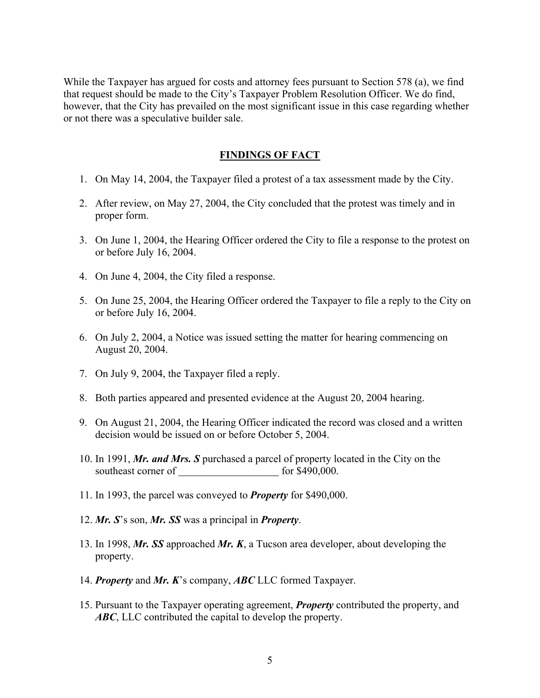While the Taxpayer has argued for costs and attorney fees pursuant to Section 578 (a), we find that request should be made to the City's Taxpayer Problem Resolution Officer. We do find, however, that the City has prevailed on the most significant issue in this case regarding whether or not there was a speculative builder sale.

## **FINDINGS OF FACT**

- 1. On May 14, 2004, the Taxpayer filed a protest of a tax assessment made by the City.
- 2. After review, on May 27, 2004, the City concluded that the protest was timely and in proper form.
- 3. On June 1, 2004, the Hearing Officer ordered the City to file a response to the protest on or before July 16, 2004.
- 4. On June 4, 2004, the City filed a response.
- 5. On June 25, 2004, the Hearing Officer ordered the Taxpayer to file a reply to the City on or before July 16, 2004.
- 6. On July 2, 2004, a Notice was issued setting the matter for hearing commencing on August 20, 2004.
- 7. On July 9, 2004, the Taxpayer filed a reply.
- 8. Both parties appeared and presented evidence at the August 20, 2004 hearing.
- 9. On August 21, 2004, the Hearing Officer indicated the record was closed and a written decision would be issued on or before October 5, 2004.
- 10. In 1991, *Mr. and Mrs. S* purchased a parcel of property located in the City on the southeast corner of for \$490,000.
- 11. In 1993, the parcel was conveyed to *Property* for \$490,000.
- 12. *Mr. S*'s son, *Mr. SS* was a principal in *Property*.
- 13. In 1998, *Mr. SS* approached *Mr. K*, a Tucson area developer, about developing the property.
- 14. *Property* and *Mr. K*'s company, *ABC* LLC formed Taxpayer.
- 15. Pursuant to the Taxpayer operating agreement, *Property* contributed the property, and *ABC*, LLC contributed the capital to develop the property.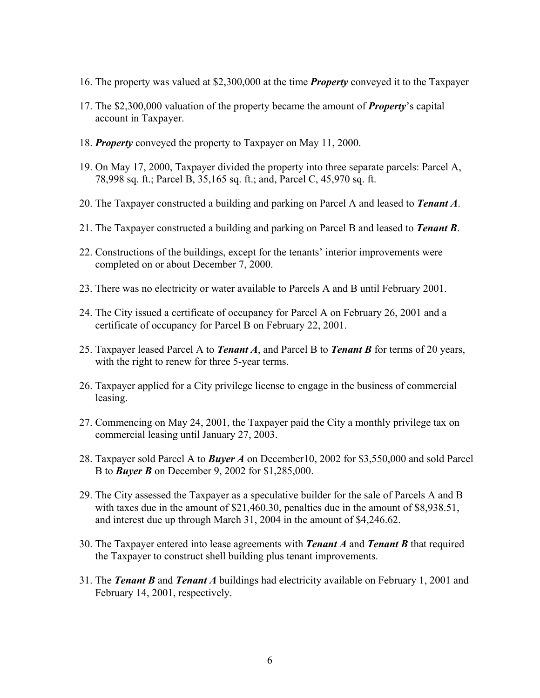- 16. The property was valued at \$2,300,000 at the time *Property* conveyed it to the Taxpayer
- 17. The \$2,300,000 valuation of the property became the amount of *Property*'s capital account in Taxpayer.
- 18. *Property* conveyed the property to Taxpayer on May 11, 2000.
- 19. On May 17, 2000, Taxpayer divided the property into three separate parcels: Parcel A, 78,998 sq. ft.; Parcel B, 35,165 sq. ft.; and, Parcel C, 45,970 sq. ft.
- 20. The Taxpayer constructed a building and parking on Parcel A and leased to *Tenant A*.
- 21. The Taxpayer constructed a building and parking on Parcel B and leased to *Tenant B*.
- 22. Constructions of the buildings, except for the tenants' interior improvements were completed on or about December 7, 2000.
- 23. There was no electricity or water available to Parcels A and B until February 2001.
- 24. The City issued a certificate of occupancy for Parcel A on February 26, 2001 and a certificate of occupancy for Parcel B on February 22, 2001.
- 25. Taxpayer leased Parcel A to *Tenant A*, and Parcel B to *Tenant B* for terms of 20 years, with the right to renew for three 5-year terms.
- 26. Taxpayer applied for a City privilege license to engage in the business of commercial leasing.
- 27. Commencing on May 24, 2001, the Taxpayer paid the City a monthly privilege tax on commercial leasing until January 27, 2003.
- 28. Taxpayer sold Parcel A to *Buyer A* on December10, 2002 for \$3,550,000 and sold Parcel B to *Buyer B* on December 9, 2002 for \$1,285,000.
- 29. The City assessed the Taxpayer as a speculative builder for the sale of Parcels A and B with taxes due in the amount of \$21,460.30, penalties due in the amount of \$8,938.51, and interest due up through March 31, 2004 in the amount of \$4,246.62.
- 30. The Taxpayer entered into lease agreements with *Tenant A* and *Tenant B* that required the Taxpayer to construct shell building plus tenant improvements.
- 31. The *Tenant B* and *Tenant A* buildings had electricity available on February 1, 2001 and February 14, 2001, respectively.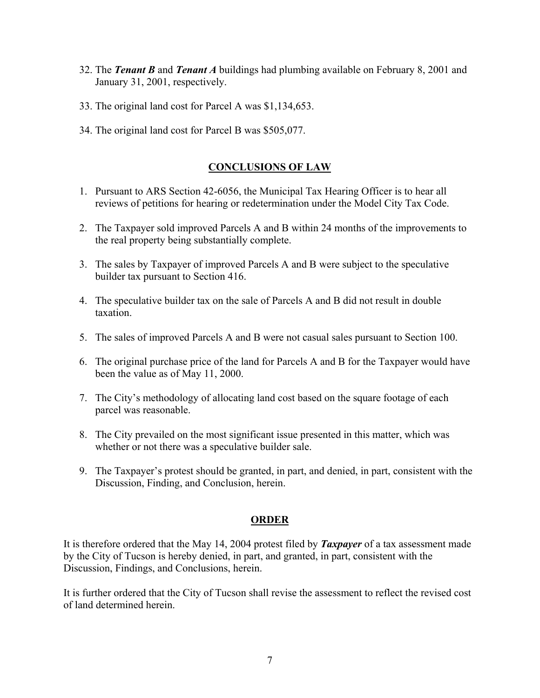- 32. The *Tenant B* and *Tenant A* buildings had plumbing available on February 8, 2001 and January 31, 2001, respectively.
- 33. The original land cost for Parcel A was \$1,134,653.
- 34. The original land cost for Parcel B was \$505,077.

# **CONCLUSIONS OF LAW**

- 1. Pursuant to ARS Section 42-6056, the Municipal Tax Hearing Officer is to hear all reviews of petitions for hearing or redetermination under the Model City Tax Code.
- 2. The Taxpayer sold improved Parcels A and B within 24 months of the improvements to the real property being substantially complete.
- 3. The sales by Taxpayer of improved Parcels A and B were subject to the speculative builder tax pursuant to Section 416.
- 4. The speculative builder tax on the sale of Parcels A and B did not result in double taxation.
- 5. The sales of improved Parcels A and B were not casual sales pursuant to Section 100.
- 6. The original purchase price of the land for Parcels A and B for the Taxpayer would have been the value as of May 11, 2000.
- 7. The City's methodology of allocating land cost based on the square footage of each parcel was reasonable.
- 8. The City prevailed on the most significant issue presented in this matter, which was whether or not there was a speculative builder sale.
- 9. The Taxpayer's protest should be granted, in part, and denied, in part, consistent with the Discussion, Finding, and Conclusion, herein.

### **ORDER**

It is therefore ordered that the May 14, 2004 protest filed by *Taxpayer* of a tax assessment made by the City of Tucson is hereby denied, in part, and granted, in part, consistent with the Discussion, Findings, and Conclusions, herein.

It is further ordered that the City of Tucson shall revise the assessment to reflect the revised cost of land determined herein.